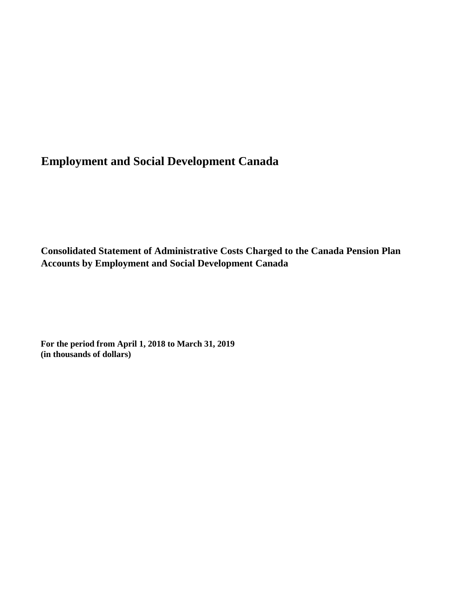# **Employment and Social Development Canada**

**Consolidated Statement of Administrative Costs Charged to the Canada Pension Plan Accounts by Employment and Social Development Canada**

**For the period from April 1, 2018 to March 31, 2019 (in thousands of dollars)**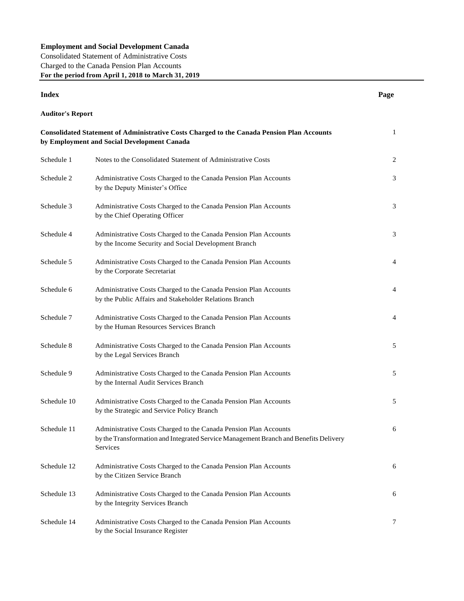#### **Index Page**

**Auditor's Report**

|             | <b>Consolidated Statement of Administrative Costs Charged to the Canada Pension Plan Accounts</b><br>by Employment and Social Development Canada                     | 1 |
|-------------|----------------------------------------------------------------------------------------------------------------------------------------------------------------------|---|
| Schedule 1  | Notes to the Consolidated Statement of Administrative Costs                                                                                                          | 2 |
| Schedule 2  | Administrative Costs Charged to the Canada Pension Plan Accounts<br>by the Deputy Minister's Office                                                                  | 3 |
| Schedule 3  | Administrative Costs Charged to the Canada Pension Plan Accounts<br>by the Chief Operating Officer                                                                   | 3 |
| Schedule 4  | Administrative Costs Charged to the Canada Pension Plan Accounts<br>by the Income Security and Social Development Branch                                             | 3 |
| Schedule 5  | Administrative Costs Charged to the Canada Pension Plan Accounts<br>by the Corporate Secretariat                                                                     | 4 |
| Schedule 6  | Administrative Costs Charged to the Canada Pension Plan Accounts<br>by the Public Affairs and Stakeholder Relations Branch                                           | 4 |
| Schedule 7  | Administrative Costs Charged to the Canada Pension Plan Accounts<br>by the Human Resources Services Branch                                                           | 4 |
| Schedule 8  | Administrative Costs Charged to the Canada Pension Plan Accounts<br>by the Legal Services Branch                                                                     | 5 |
| Schedule 9  | Administrative Costs Charged to the Canada Pension Plan Accounts<br>by the Internal Audit Services Branch                                                            | 5 |
| Schedule 10 | Administrative Costs Charged to the Canada Pension Plan Accounts<br>by the Strategic and Service Policy Branch                                                       | 5 |
| Schedule 11 | Administrative Costs Charged to the Canada Pension Plan Accounts<br>by the Transformation and Integrated Service Management Branch and Benefits Delivery<br>Services | 6 |
| Schedule 12 | Administrative Costs Charged to the Canada Pension Plan Accounts<br>by the Citizen Service Branch                                                                    | 6 |
| Schedule 13 | Administrative Costs Charged to the Canada Pension Plan Accounts<br>by the Integrity Services Branch                                                                 | 6 |
| Schedule 14 | Administrative Costs Charged to the Canada Pension Plan Accounts<br>by the Social Insurance Register                                                                 | 7 |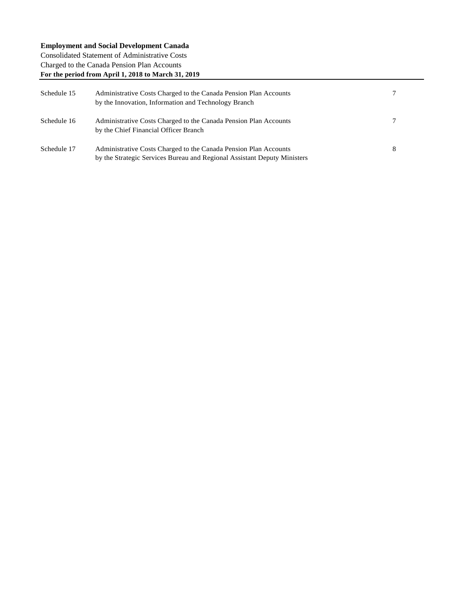### **Employment and Social Development Canada** Consolidated Statement of Administrative Costs Charged to the Canada Pension Plan Accounts **For the period from April 1, 2018 to March 31, 2019**

| Schedule 15 | Administrative Costs Charged to the Canada Pension Plan Accounts<br>by the Innovation, Information and Technology Branch                     |   |
|-------------|----------------------------------------------------------------------------------------------------------------------------------------------|---|
| Schedule 16 | Administrative Costs Charged to the Canada Pension Plan Accounts<br>by the Chief Financial Officer Branch                                    |   |
| Schedule 17 | Administrative Costs Charged to the Canada Pension Plan Accounts<br>by the Strategic Services Bureau and Regional Assistant Deputy Ministers | 8 |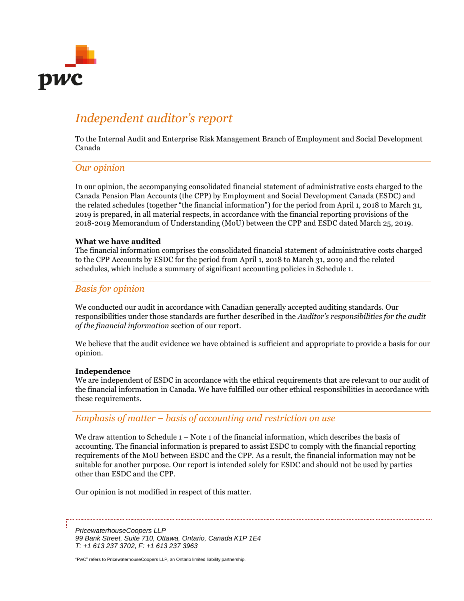

# *Independent auditor's report*

To the Internal Audit and Enterprise Risk Management Branch of Employment and Social Development Canada

#### *Our opinion*

In our opinion, the accompanying consolidated financial statement of administrative costs charged to the Canada Pension Plan Accounts (the CPP) by Employment and Social Development Canada (ESDC) and the related schedules (together "the financial information") for the period from April 1, 2018 to March 31, 2019 is prepared, in all material respects, in accordance with the financial reporting provisions of the 2018-2019 Memorandum of Understanding (MoU) between the CPP and ESDC dated March 25, 2019.

#### **What we have audited**

The financial information comprises the consolidated financial statement of administrative costs charged to the CPP Accounts by ESDC for the period from April 1, 2018 to March 31, 2019 and the related schedules, which include a summary of significant accounting policies in Schedule 1.

#### *Basis for opinion*

We conducted our audit in accordance with Canadian generally accepted auditing standards. Our responsibilities under those standards are further described in the *Auditor's responsibilities for the audit of the financial information* section of our report.

We believe that the audit evidence we have obtained is sufficient and appropriate to provide a basis for our opinion.

#### **Independence**

We are independent of ESDC in accordance with the ethical requirements that are relevant to our audit of the financial information in Canada. We have fulfilled our other ethical responsibilities in accordance with these requirements.

## *Emphasis of matter – basis of accounting and restriction on use*

We draw attention to Schedule 1 – Note 1 of the financial information, which describes the basis of accounting. The financial information is prepared to assist ESDC to comply with the financial reporting requirements of the MoU between ESDC and the CPP. As a result, the financial information may not be suitable for another purpose. Our report is intended solely for ESDC and should not be used by parties other than ESDC and the CPP.

Our opinion is not modified in respect of this matter.

*PricewaterhouseCoopers LLP 99 Bank Street, Suite 710, Ottawa, Ontario, Canada K1P 1E4 T: +1 613 237 3702, F: +1 613 237 3963*

"PwC" refers to PricewaterhouseCoopers LLP, an Ontario limited liability partnership.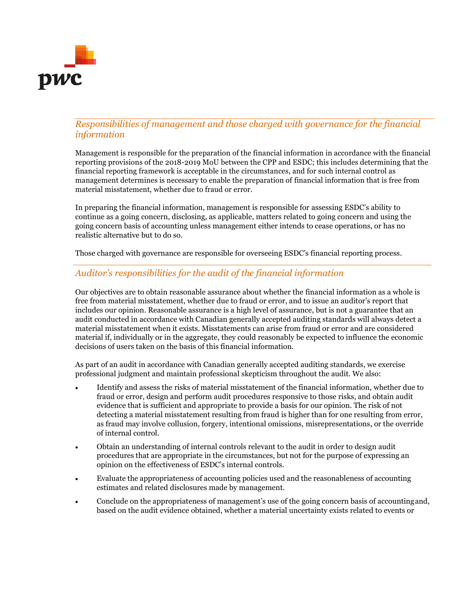

# *Responsibilities of management and those charged with governance for the financial information*

Management is responsible for the preparation of the financial information in accordance with the financial reporting provisions of the 2018-2019 MoU between the CPP and ESDC; this includes determining that the financial reporting framework is acceptable in the circumstances, and for such internal control as management determines is necessary to enable the preparation of financial information that is free from material misstatement, whether due to fraud or error.

In preparing the financial information, management is responsible for assessing ESDC's ability to continue as a going concern, disclosing, as applicable, matters related to going concern and using the going concern basis of accounting unless management either intends to cease operations, or has no realistic alternative but to do so.

Those charged with governance are responsible for overseeing ESDC's financial reporting process.

# *Auditor's responsibilities for the audit of the financial information*

Our objectives are to obtain reasonable assurance about whether the financial information as a whole is free from material misstatement, whether due to fraud or error, and to issue an auditor's report that includes our opinion. Reasonable assurance is a high level of assurance, but is not a guarantee that an audit conducted in accordance with Canadian generally accepted auditing standards will always detect a material misstatement when it exists. Misstatements can arise from fraud or error and are considered material if, individually or in the aggregate, they could reasonably be expected to influence the economic decisions of users taken on the basis of this financial information.

As part of an audit in accordance with Canadian generally accepted auditing standards, we exercise professional judgment and maintain professional skepticism throughout the audit. We also:

- Identify and assess the risks of material misstatement of the financial information, whether due to fraud or error, design and perform audit procedures responsive to those risks, and obtain audit evidence that is sufficient and appropriate to provide a basis for our opinion. The risk of not detecting a material misstatement resulting from fraud is higher than for one resulting from error, as fraud may involve collusion, forgery, intentional omissions, misrepresentations, or the override of internal control.
- Obtain an understanding of internal controls relevant to the audit in order to design audit procedures that are appropriate in the circumstances, but not for the purpose of expressing an opinion on the effectiveness of ESDC's internal controls.
- Evaluate the appropriateness of accounting policies used and the reasonableness of accounting estimates and related disclosures made by management.
- Conclude on the appropriateness of management's use of the going concern basis of accountingand, based on the audit evidence obtained, whether a material uncertainty exists related to events or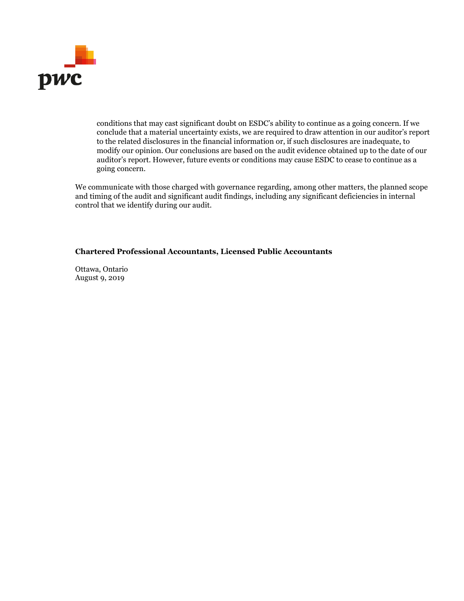

conditions that may cast significant doubt on ESDC's ability to continue as a going concern. If we conclude that a material uncertainty exists, we are required to draw attention in our auditor's report to the related disclosures in the financial information or, if such disclosures are inadequate, to modify our opinion. Our conclusions are based on the audit evidence obtained up to the date of our auditor's report. However, future events or conditions may cause ESDC to cease to continue as a going concern.

We communicate with those charged with governance regarding, among other matters, the planned scope and timing of the audit and significant audit findings, including any significant deficiencies in internal control that we identify during our audit.

#### **Chartered Professional Accountants, Licensed Public Accountants**

Ottawa, Ontario August 9, 2019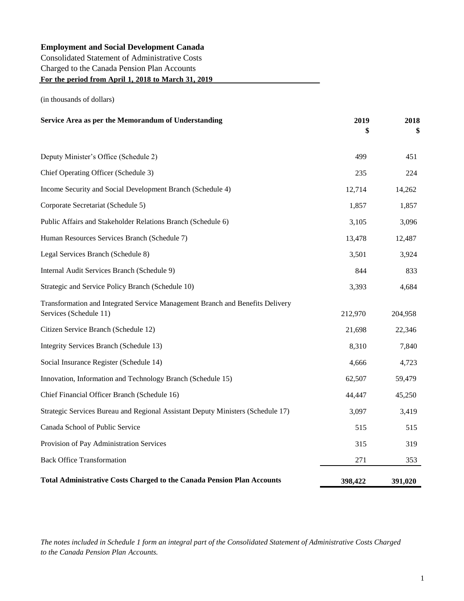# **Employment and Social Development Canada**

Consolidated Statement of Administrative Costs Charged to the Canada Pension Plan Accounts **For the period from April 1, 2018 to March 31, 2019**

(in thousands of dollars)

| Service Area as per the Memorandum of Understanding                                                     | 2019    | 2018    |
|---------------------------------------------------------------------------------------------------------|---------|---------|
| Deputy Minister's Office (Schedule 2)                                                                   | 499     | 451     |
| Chief Operating Officer (Schedule 3)                                                                    | 235     | 224     |
| Income Security and Social Development Branch (Schedule 4)                                              | 12,714  | 14,262  |
| Corporate Secretariat (Schedule 5)                                                                      | 1,857   | 1,857   |
| Public Affairs and Stakeholder Relations Branch (Schedule 6)                                            | 3,105   | 3,096   |
| Human Resources Services Branch (Schedule 7)                                                            | 13,478  | 12,487  |
| Legal Services Branch (Schedule 8)                                                                      | 3,501   | 3,924   |
| Internal Audit Services Branch (Schedule 9)                                                             | 844     | 833     |
| Strategic and Service Policy Branch (Schedule 10)                                                       | 3,393   | 4,684   |
| Transformation and Integrated Service Management Branch and Benefits Delivery<br>Services (Schedule 11) | 212,970 | 204,958 |
| Citizen Service Branch (Schedule 12)                                                                    | 21,698  | 22,346  |
| Integrity Services Branch (Schedule 13)                                                                 | 8,310   | 7,840   |
| Social Insurance Register (Schedule 14)                                                                 | 4,666   | 4,723   |
| Innovation, Information and Technology Branch (Schedule 15)                                             | 62,507  | 59,479  |
| Chief Financial Officer Branch (Schedule 16)                                                            | 44,447  | 45,250  |
| Strategic Services Bureau and Regional Assistant Deputy Ministers (Schedule 17)                         | 3,097   | 3,419   |
| Canada School of Public Service                                                                         | 515     | 515     |
| Provision of Pay Administration Services                                                                | 315     | 319     |
| <b>Back Office Transformation</b>                                                                       | 271     | 353     |
| <b>Total Administrative Costs Charged to the Canada Pension Plan Accounts</b>                           | 398,422 | 391,020 |

*The notes included in Schedule 1 form an integral part of the Consolidated Statement of Administrative Costs Charged to the Canada Pension Plan Accounts.*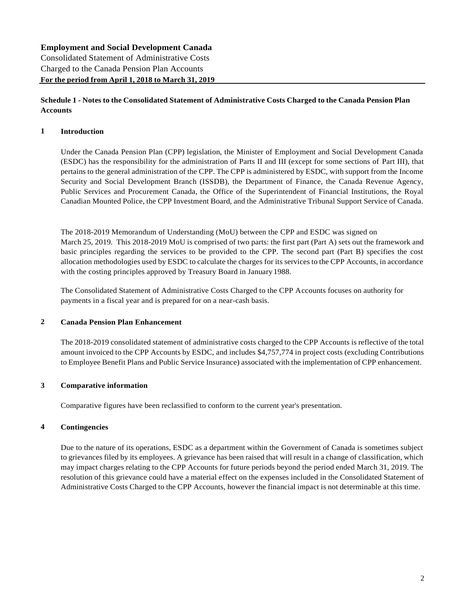#### Schedule 1 - Notes to the Consolidated Statement of Administrative Costs Charged to the Canada Pension Plan **Accounts**

#### **1 Introduction**

Under the Canada Pension Plan (CPP) legislation, the Minister of Employment and Social Development Canada (ESDC) has the responsibility for the administration of Parts II and III (except for some sections of Part III), that pertains to the general administration of the CPP. The CPP is administered by ESDC, with support from the Income Security and Social Development Branch (ISSDB), the Department of Finance, the Canada Revenue Agency, Public Services and Procurement Canada, the Office of the Superintendent of Financial Institutions, the Royal Canadian Mounted Police, the CPP Investment Board, and the Administrative Tribunal Support Service of Canada.

The 2018-2019 Memorandum of Understanding (MoU) between the CPP and ESDC was signed on March 25, 2019. This 2018-2019 MoU is comprised of two parts: the first part (Part A) sets out the framework and basic principles regarding the services to be provided to the CPP. The second part (Part B) specifies the cost allocation methodologies used by ESDC to calculate the charges for its services to the CPP Accounts, in accordance with the costing principles approved by Treasury Board in January 1988.

The Consolidated Statement of Administrative Costs Charged to the CPP Accounts focuses on authority for payments in a fiscal year and is prepared for on a near-cash basis.

#### **2 Canada Pension Plan Enhancement**

The 2018-2019 consolidated statement of administrative costs charged to the CPP Accounts is reflective of the total amount invoiced to the CPP Accounts by ESDC, and includes \$4,757,774 in project costs (excluding Contributions to Employee Benefit Plans and Public Service Insurance) associated with the implementation of CPP enhancement.

#### **3 Comparative information**

Comparative figures have been reclassified to conform to the current year's presentation.

#### **4 Contingencies**

Due to the nature of its operations, ESDC as a department within the Government of Canada is sometimes subject to grievances filed by its employees. A grievance has been raised that will result in a change of classification, which may impact charges relating to the CPP Accounts for future periods beyond the period ended March 31, 2019. The resolution of this grievance could have a material effect on the expenses included in the Consolidated Statement of Administrative Costs Charged to the CPP Accounts, however the financial impact is not determinable at this time.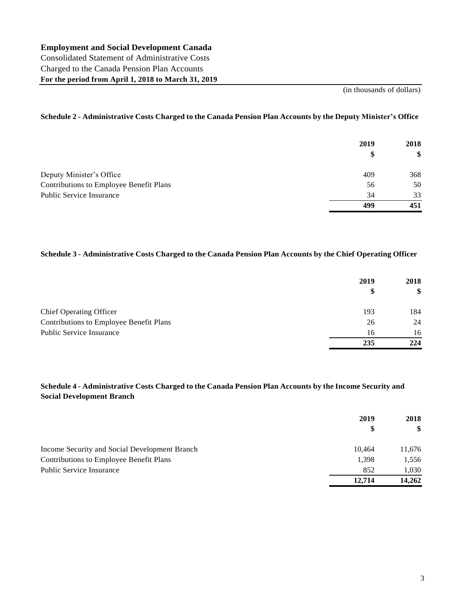#### (in thousands of dollars)

#### Schedule 2 - Administrative Costs Charged to the Canada Pension Plan Accounts by the Deputy Minister's Office

|                                         | 2019 | 2018 |
|-----------------------------------------|------|------|
|                                         | \$   | \$   |
| Deputy Minister's Office                | 409  | 368  |
| Contributions to Employee Benefit Plans | 56   | 50   |
| <b>Public Service Insurance</b>         | 34   | 33   |
|                                         | 499  | 451  |

#### Schedule 3 - Administrative Costs Charged to the Canada Pension Plan Accounts by the Chief Operating Officer

|                                         | 2019 | 2018          |
|-----------------------------------------|------|---------------|
|                                         | S    | <sup>\$</sup> |
| <b>Chief Operating Officer</b>          | 193  | 184           |
| Contributions to Employee Benefit Plans | 26   | 24            |
| <b>Public Service Insurance</b>         | 16   | 16            |
|                                         | 235  | 224           |

#### **Schedule 4 - Administrative Costs Charged to the Canada Pension Plan Accounts by the Income Security and Social Development Branch**

|                                               | 2019   | 2018   |
|-----------------------------------------------|--------|--------|
|                                               | S      | S.     |
| Income Security and Social Development Branch | 10.464 | 11,676 |
| Contributions to Employee Benefit Plans       | 1.398  | 1,556  |
| Public Service Insurance                      | 852    | 1.030  |
|                                               | 12.714 | 14,262 |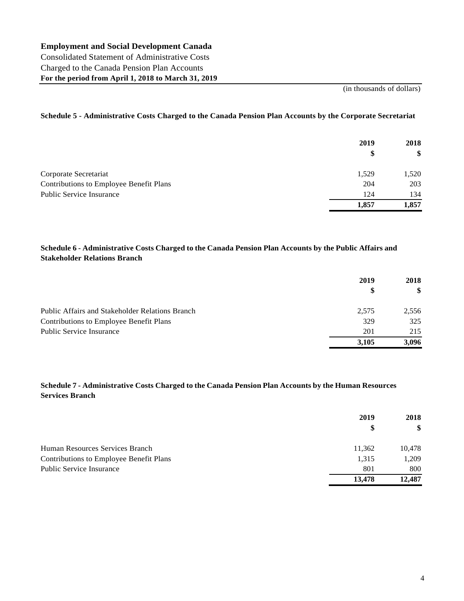#### (in thousands of dollars)

#### **Schedule 5 - Administrative Costs Charged to the Canada Pension Plan Accounts by the Corporate Secretariat**

|                                         | 2019  | 2018  |
|-----------------------------------------|-------|-------|
|                                         | -SS   | \$    |
| Corporate Secretariat                   | 1,529 | 1,520 |
| Contributions to Employee Benefit Plans | 204   | 203   |
| <b>Public Service Insurance</b>         | 124   | 134   |
|                                         | 1,857 | 1,857 |

#### **Schedule 6 - Administrative Costs Charged to the Canada Pension Plan Accounts by the Public Affairs and Stakeholder Relations Branch**

|                                                 | 2019  | 2018  |
|-------------------------------------------------|-------|-------|
|                                                 | \$.   | \$.   |
| Public Affairs and Stakeholder Relations Branch | 2.575 | 2,556 |
| Contributions to Employee Benefit Plans         | 329   | 325   |
| Public Service Insurance                        | 201   | 215   |
|                                                 | 3,105 | 3.096 |

#### **Schedule 7 - Administrative Costs Charged to the Canada Pension Plan Accounts by the Human Resources Services Branch**

|                                         | 2019   | 2018          |
|-----------------------------------------|--------|---------------|
|                                         | \$     | <sup>\$</sup> |
| Human Resources Services Branch         | 11,362 | 10,478        |
| Contributions to Employee Benefit Plans | 1,315  | 1,209         |
| <b>Public Service Insurance</b>         | 801    | 800           |
|                                         | 13.478 | 12.487        |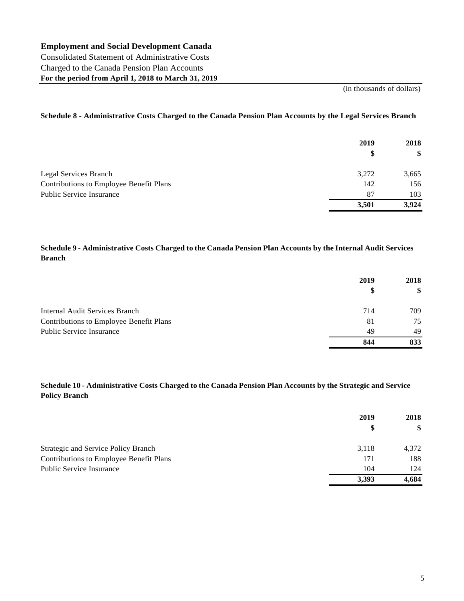#### (in thousands of dollars)

#### **Schedule 8 - Administrative Costs Charged to the Canada Pension Plan Accounts by the Legal Services Branch**

|                                         | 2019<br>S | 2018<br>\$ |
|-----------------------------------------|-----------|------------|
| Legal Services Branch                   | 3,272     | 3,665      |
| Contributions to Employee Benefit Plans | 142       | 156        |
| <b>Public Service Insurance</b>         | 87        | 103        |
|                                         | 3,501     | 3.924      |

#### Schedule 9 - Administrative Costs Charged to the Canada Pension Plan Accounts by the Internal Audit Services **Branch**

|                                         | 2019 | 2018 |
|-----------------------------------------|------|------|
|                                         | -SS  | SS.  |
| Internal Audit Services Branch          | 714  | 709  |
| Contributions to Employee Benefit Plans | 81   | 75   |
| <b>Public Service Insurance</b>         | 49   | 49   |
|                                         | 844  | 833  |

#### Schedule 10 - Administrative Costs Charged to the Canada Pension Plan Accounts by the Strategic and Service **Policy Branch**

|                                         | 2019  | 2018  |
|-----------------------------------------|-------|-------|
|                                         | \$    | SS.   |
| Strategic and Service Policy Branch     | 3,118 | 4,372 |
| Contributions to Employee Benefit Plans | 171   | 188   |
| <b>Public Service Insurance</b>         | 104   | 124   |
|                                         | 3,393 | 4.684 |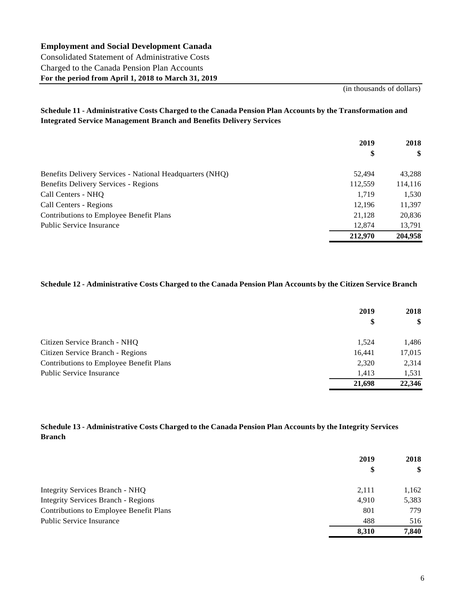Consolidated Statement of Administrative Costs Charged to the Canada Pension Plan Accounts **For the period from April 1, 2018 to March 31, 2019**

(in thousands of dollars)

#### **Schedule 11 - Administrative Costs Charged to the Canada Pension Plan Accounts by the Transformation and Integrated Service Management Branch and Benefits Delivery Services**

|                                                          | 2019    | 2018<br><sup>\$</sup> |
|----------------------------------------------------------|---------|-----------------------|
|                                                          | \$      |                       |
| Benefits Delivery Services - National Headquarters (NHQ) | 52,494  | 43,288                |
| Benefits Delivery Services - Regions                     | 112,559 | 114,116               |
| Call Centers - NHQ                                       | 1.719   | 1,530                 |
| Call Centers - Regions                                   | 12,196  | 11,397                |
| Contributions to Employee Benefit Plans                  | 21,128  | 20,836                |
| Public Service Insurance                                 | 12.874  | 13,791                |
|                                                          | 212,970 | 204.958               |

#### Schedule 12 - Administrative Costs Charged to the Canada Pension Plan Accounts by the Citizen Service Branch

|                                         | 2019<br>\$ | 2018<br>\$ |
|-----------------------------------------|------------|------------|
| Citizen Service Branch - NHQ            | 1.524      | 1,486      |
| Citizen Service Branch - Regions        | 16,441     | 17,015     |
| Contributions to Employee Benefit Plans | 2,320      | 2,314      |
| <b>Public Service Insurance</b>         | 1.413      | 1,531      |
|                                         | 21,698     | 22,346     |

### **Schedule 13 - Administrative Costs Charged to the Canada Pension Plan Accounts by the Integrity Services Branch**

|                                            | 2019  | 2018<br>SS. |
|--------------------------------------------|-------|-------------|
|                                            | \$    |             |
| Integrity Services Branch - NHQ            | 2.111 | 1,162       |
| <b>Integrity Services Branch - Regions</b> | 4.910 | 5,383       |
| Contributions to Employee Benefit Plans    | 801   | 779         |
| Public Service Insurance                   | 488   | 516         |
|                                            | 8,310 | 7.840       |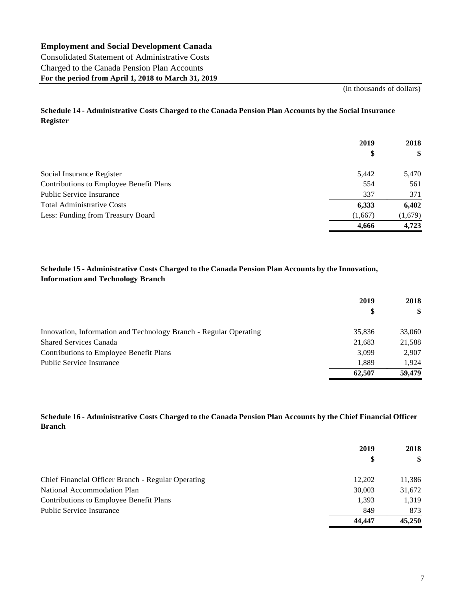### **For the period from April 1, 2018 to March 31, 2019**

#### (in thousands of dollars)

### **Schedule 14 - Administrative Costs Charged to the Canada Pension Plan Accounts by the Social Insurance Register**

|                                         | 2019    | 2018<br>$\mathbf{\$}$ |
|-----------------------------------------|---------|-----------------------|
|                                         | \$      |                       |
| Social Insurance Register               | 5,442   | 5,470                 |
| Contributions to Employee Benefit Plans | 554     | 561                   |
| <b>Public Service Insurance</b>         | 337     | 371                   |
| <b>Total Administrative Costs</b>       | 6,333   | 6,402                 |
| Less: Funding from Treasury Board       | (1,667) | (1,679)               |
|                                         | 4,666   | 4,723                 |

#### **Schedule 15 - Administrative Costs Charged to the Canada Pension Plan Accounts by the Innovation, Information and Technology Branch**

|                                                                   | 2019<br>\$ | 2018<br>-SS |
|-------------------------------------------------------------------|------------|-------------|
|                                                                   |            |             |
| Innovation, Information and Technology Branch - Regular Operating | 35,836     | 33,060      |
| <b>Shared Services Canada</b>                                     | 21.683     | 21,588      |
| Contributions to Employee Benefit Plans                           | 3,099      | 2,907       |
| <b>Public Service Insurance</b>                                   | 1.889      | 1.924       |
|                                                                   | 62,507     | 59,479      |

#### Schedule 16 - Administrative Costs Charged to the Canada Pension Plan Accounts by the Chief Financial Officer **Branch**

|                                                    | 2019<br>\$ | 2018<br>\$ |
|----------------------------------------------------|------------|------------|
|                                                    |            |            |
| Chief Financial Officer Branch - Regular Operating | 12.202     | 11,386     |
| National Accommodation Plan                        | 30,003     | 31,672     |
| Contributions to Employee Benefit Plans            | 1,393      | 1,319      |
| Public Service Insurance                           | 849        | 873        |
|                                                    | 44.447     | 45,250     |